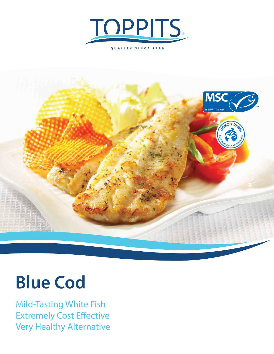



## **Blue Cod**

Mild-Tasting White Fish Extremely Cost Effective Very Healthy Alternative